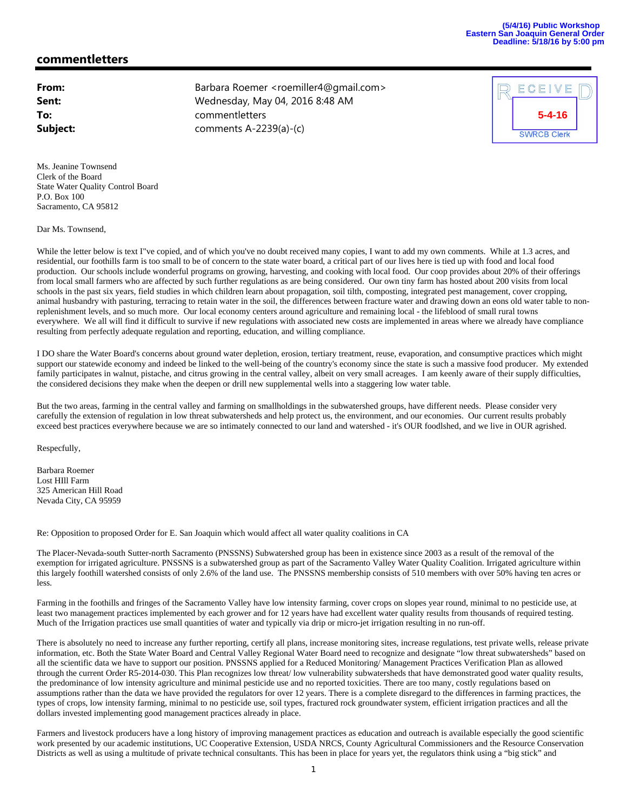## **commentletters**

| From:    |
|----------|
| Sent:    |
| To:      |
| Subject: |

**From:** Barbara Roemer <roemiller4@gmail.com> **Sent:** Wednesday, May 04, 2016 8:48 AM **To:** commentletters **Subject:** comments A-2239(a)-(c)



Ms. Jeanine Townsend Clerk of the Board State Water Quality Control Board P.O. Box 100 Sacramento, CA 95812

Dar Ms. Townsend,

While the letter below is text I've copied, and of which you've no doubt received many copies, I want to add my own comments. While at 1.3 acres, and residential, our foothills farm is too small to be of concern to the state water board, a critical part of our lives here is tied up with food and local food production. Our schools include wonderful programs on growing, harvesting, and cooking with local food. Our coop provides about 20% of their offerings from local small farmers who are affected by such further regulations as are being considered. Our own tiny farm has hosted about 200 visits from local schools in the past six years, field studies in which children learn about propagation, soil tilth, composting, integrated pest management, cover cropping, animal husbandry with pasturing, terracing to retain water in the soil, the differences between fracture water and drawing down an eons old water table to nonreplenishment levels, and so much more. Our local economy centers around agriculture and remaining local - the lifeblood of small rural towns everywhere. We all will find it difficult to survive if new regulations with associated new costs are implemented in areas where we already have compliance resulting from perfectly adequate regulation and reporting, education, and willing compliance.

I DO share the Water Board's concerns about ground water depletion, erosion, tertiary treatment, reuse, evaporation, and consumptive practices which might support our statewide economy and indeed be linked to the well-being of the country's economy since the state is such a massive food producer. My extended family participates in walnut, pistache, and citrus growing in the central valley, albeit on very small acreages. I am keenly aware of their supply difficulties, the considered decisions they make when the deepen or drill new supplemental wells into a staggering low water table.

But the two areas, farming in the central valley and farming on smallholdings in the subwatershed groups, have different needs. Please consider very carefully the extension of regulation in low threat subwatersheds and help protect us, the environment, and our economies. Our current results probably exceed best practices everywhere because we are so intimately connected to our land and watershed - it's OUR foodlshed, and we live in OUR agrished.

Respecfully,

Barbara Roemer Lost HIll Farm 325 American Hill Road Nevada City, CA 95959

Re: Opposition to proposed Order for E. San Joaquin which would affect all water quality coalitions in CA

The Placer-Nevada-south Sutter-north Sacramento (PNSSNS) Subwatershed group has been in existence since 2003 as a result of the removal of the exemption for irrigated agriculture. PNSSNS is a subwatershed group as part of the Sacramento Valley Water Quality Coalition. Irrigated agriculture within this largely foothill watershed consists of only 2.6% of the land use. The PNSSNS membership consists of 510 members with over 50% having ten acres or less.

Farming in the foothills and fringes of the Sacramento Valley have low intensity farming, cover crops on slopes year round, minimal to no pesticide use, at least two management practices implemented by each grower and for 12 years have had excellent water quality results from thousands of required testing. Much of the Irrigation practices use small quantities of water and typically via drip or micro-jet irrigation resulting in no run-off.

There is absolutely no need to increase any further reporting, certify all plans, increase monitoring sites, increase regulations, test private wells, release private information, etc. Both the State Water Board and Central Valley Regional Water Board need to recognize and designate "low threat subwatersheds" based on all the scientific data we have to support our position. PNSSNS applied for a Reduced Monitoring/ Management Practices Verification Plan as allowed through the current Order R5-2014-030. This Plan recognizes low threat/ low vulnerability subwatersheds that have demonstrated good water quality results, the predominance of low intensity agriculture and minimal pesticide use and no reported toxicities. There are too many, costly regulations based on assumptions rather than the data we have provided the regulators for over 12 years. There is a complete disregard to the differences in farming practices, the types of crops, low intensity farming, minimal to no pesticide use, soil types, fractured rock groundwater system, efficient irrigation practices and all the dollars invested implementing good management practices already in place.

Farmers and livestock producers have a long history of improving management practices as education and outreach is available especially the good scientific work presented by our academic institutions, UC Cooperative Extension, USDA NRCS, County Agricultural Commissioners and the Resource Conservation Districts as well as using a multitude of private technical consultants. This has been in place for years yet, the regulators think using a "big stick" and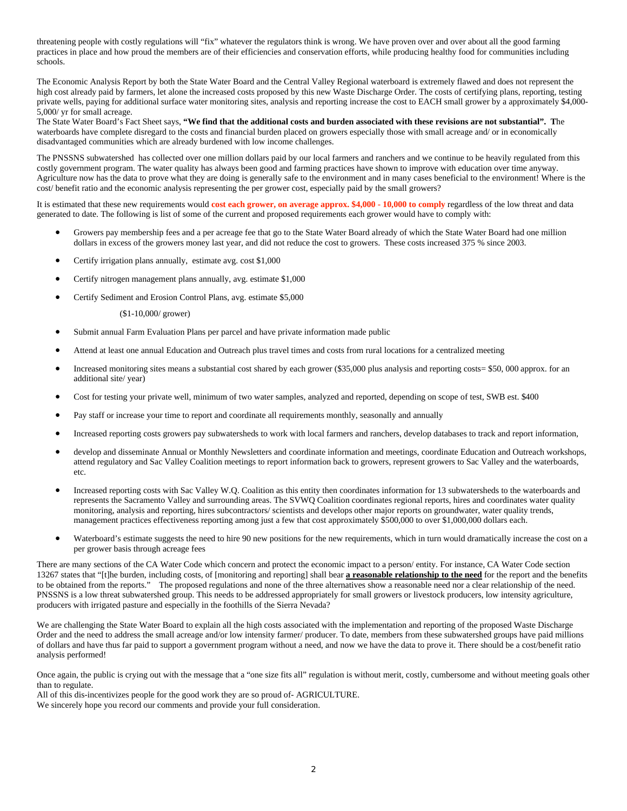threatening people with costly regulations will "fix" whatever the regulators think is wrong. We have proven over and over about all the good farming practices in place and how proud the members are of their efficiencies and conservation efforts, while producing healthy food for communities including schools.

The Economic Analysis Report by both the State Water Board and the Central Valley Regional waterboard is extremely flawed and does not represent the high cost already paid by farmers, let alone the increased costs proposed by this new Waste Discharge Order. The costs of certifying plans, reporting, testing private wells, paying for additional surface water monitoring sites, analysis and reporting increase the cost to EACH small grower by a approximately \$4,000- 5,000/ yr for small acreage.

The State Water Board's Fact Sheet says, **"We find that the additional costs and burden associated with these revisions are not substantial". T**he waterboards have complete disregard to the costs and financial burden placed on growers especially those with small acreage and/ or in economically disadvantaged communities which are already burdened with low income challenges.

The PNSSNS subwatershed has collected over one million dollars paid by our local farmers and ranchers and we continue to be heavily regulated from this costly government program. The water quality has always been good and farming practices have shown to improve with education over time anyway. Agriculture now has the data to prove what they are doing is generally safe to the environment and in many cases beneficial to the environment! Where is the cost/ benefit ratio and the economic analysis representing the per grower cost, especially paid by the small growers?

It is estimated that these new requirements would **cost each grower, on average approx. \$4,000 - 10,000 to comply** regardless of the low threat and data generated to date. The following is list of some of the current and proposed requirements each grower would have to comply with:

- Growers pay membership fees and a per acreage fee that go to the State Water Board already of which the State Water Board had one million dollars in excess of the growers money last year, and did not reduce the cost to growers. These costs increased 375 % since 2003.
- Certify irrigation plans annually, estimate avg. cost \$1,000
- Certify nitrogen management plans annually, avg. estimate \$1,000
- Certify Sediment and Erosion Control Plans, avg. estimate \$5,000

(\$1-10,000/ grower)

- Submit annual Farm Evaluation Plans per parcel and have private information made public
- Attend at least one annual Education and Outreach plus travel times and costs from rural locations for a centralized meeting
- Increased monitoring sites means a substantial cost shared by each grower (\$35,000 plus analysis and reporting costs= \$50, 000 approx. for an additional site/ year)
- Cost for testing your private well, minimum of two water samples, analyzed and reported, depending on scope of test, SWB est. \$400
- Pay staff or increase your time to report and coordinate all requirements monthly, seasonally and annually
- Increased reporting costs growers pay subwatersheds to work with local farmers and ranchers, develop databases to track and report information,
- develop and disseminate Annual or Monthly Newsletters and coordinate information and meetings, coordinate Education and Outreach workshops, attend regulatory and Sac Valley Coalition meetings to report information back to growers, represent growers to Sac Valley and the waterboards, etc.
- Increased reporting costs with Sac Valley W.Q. Coalition as this entity then coordinates information for 13 subwatersheds to the waterboards and represents the Sacramento Valley and surrounding areas. The SVWQ Coalition coordinates regional reports, hires and coordinates water quality monitoring, analysis and reporting, hires subcontractors/ scientists and develops other major reports on groundwater, water quality trends, management practices effectiveness reporting among just a few that cost approximately \$500,000 to over \$1,000,000 dollars each.
- Waterboard's estimate suggests the need to hire 90 new positions for the new requirements, which in turn would dramatically increase the cost on a per grower basis through acreage fees

There are many sections of the CA Water Code which concern and protect the economic impact to a person/ entity. For instance, CA Water Code section 13267 states that "[t]he burden, including costs, of [monitoring and reporting] shall bear **a reasonable relationship to the need** for the report and the benefits to be obtained from the reports." The proposed regulations and none of the three alternatives show a reasonable need nor a clear relationship of the need. PNSSNS is a low threat subwatershed group. This needs to be addressed appropriately for small growers or livestock producers, low intensity agriculture, producers with irrigated pasture and especially in the foothills of the Sierra Nevada?

We are challenging the State Water Board to explain all the high costs associated with the implementation and reporting of the proposed Waste Discharge Order and the need to address the small acreage and/or low intensity farmer/ producer. To date, members from these subwatershed groups have paid millions of dollars and have thus far paid to support a government program without a need, and now we have the data to prove it. There should be a cost/benefit ratio analysis performed!

Once again, the public is crying out with the message that a "one size fits all" regulation is without merit, costly, cumbersome and without meeting goals other than to regulate.

All of this dis-incentivizes people for the good work they are so proud of- AGRICULTURE.

We sincerely hope you record our comments and provide your full consideration.